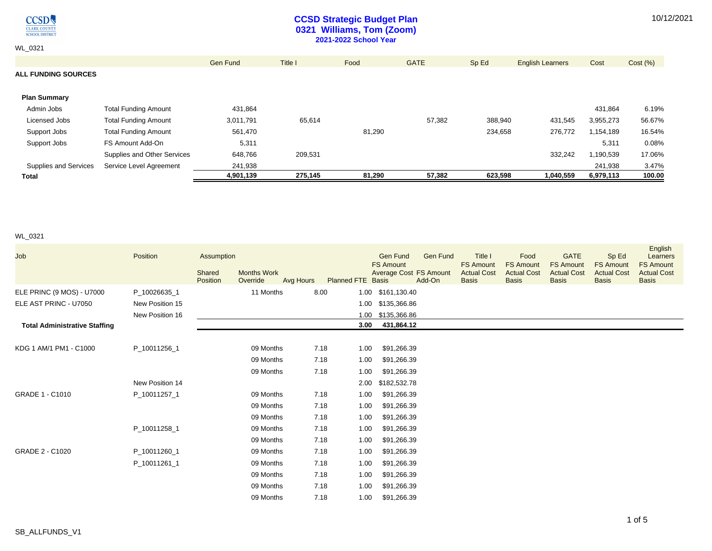

## **CCSD Strategic Budget Plan 0321 Williams, Tom (Zoom) 2021-2022 School Year**

WL\_0321

|                            |                             | Gen Fund  | Title I | Food   | <b>GATE</b> | Sp Ed   | <b>English Learners</b> | Cost      | Cost (%) |
|----------------------------|-----------------------------|-----------|---------|--------|-------------|---------|-------------------------|-----------|----------|
| <b>ALL FUNDING SOURCES</b> |                             |           |         |        |             |         |                         |           |          |
| <b>Plan Summary</b>        |                             |           |         |        |             |         |                         |           |          |
| Admin Jobs                 | Total Funding Amount        | 431,864   |         |        |             |         |                         | 431,864   | 6.19%    |
| Licensed Jobs              | <b>Total Funding Amount</b> | 3,011,791 | 65,614  |        | 57,382      | 388,940 | 431,545                 | 3,955,273 | 56.67%   |
| Support Jobs               | <b>Total Funding Amount</b> | 561,470   |         | 81,290 |             | 234,658 | 276,772                 | 1,154,189 | 16.54%   |
| Support Jobs               | FS Amount Add-On            | 5,311     |         |        |             |         |                         | 5,311     | 0.08%    |
|                            | Supplies and Other Services | 648,766   | 209,531 |        |             |         | 332,242                 | 1,190,539 | 17.06%   |
| Supplies and Services      | Service Level Agreement     | 241,938   |         |        |             |         |                         | 241,938   | 3.47%    |
| <b>Total</b>               |                             | 4,901,139 | 275.145 | 81,290 | 57,382      | 623,598 | 1,040,559               | 6,979,113 | 100.00   |

## WL\_0321

| Job                                  | Position        | Assumption<br>Shared<br>Position | <b>Months Work</b><br>Override | Avg Hours | <b>Planned FTE Basis</b> |      | <b>Gen Fund</b><br><b>FS Amount</b><br><b>Average Cost FS Amount</b> | <b>Gen Fund</b><br>Add-On | Title I<br><b>FS Amount</b><br><b>Actual Cost</b><br><b>Basis</b> | Food<br><b>FS Amount</b><br><b>Actual Cost</b><br><b>Basis</b> | <b>GATE</b><br><b>FS Amount</b><br><b>Actual Cost</b><br><b>Basis</b> | Sp Ed<br><b>FS Amount</b><br><b>Actual Cost</b><br><b>Basis</b> | English<br>Learners<br><b>FS Amount</b><br><b>Actual Cost</b><br><b>Basis</b> |
|--------------------------------------|-----------------|----------------------------------|--------------------------------|-----------|--------------------------|------|----------------------------------------------------------------------|---------------------------|-------------------------------------------------------------------|----------------------------------------------------------------|-----------------------------------------------------------------------|-----------------------------------------------------------------|-------------------------------------------------------------------------------|
| ELE PRINC (9 MOS) - U7000            | P_10026635_1    |                                  | 11 Months                      |           | 8.00                     |      | 1.00 \$161,130.40                                                    |                           |                                                                   |                                                                |                                                                       |                                                                 |                                                                               |
| ELE AST PRINC - U7050                | New Position 15 |                                  |                                |           |                          |      | 1.00 \$135,366.86                                                    |                           |                                                                   |                                                                |                                                                       |                                                                 |                                                                               |
|                                      | New Position 16 |                                  |                                |           |                          | 1.00 | \$135,366.86                                                         |                           |                                                                   |                                                                |                                                                       |                                                                 |                                                                               |
| <b>Total Administrative Staffing</b> |                 |                                  |                                |           |                          | 3.00 | 431,864.12                                                           |                           |                                                                   |                                                                |                                                                       |                                                                 |                                                                               |
|                                      |                 |                                  |                                |           |                          |      |                                                                      |                           |                                                                   |                                                                |                                                                       |                                                                 |                                                                               |
| KDG 1 AM/1 PM1 - C1000               | P_10011256_1    |                                  | 09 Months                      |           | 7.18                     | 1.00 | \$91,266.39                                                          |                           |                                                                   |                                                                |                                                                       |                                                                 |                                                                               |
|                                      |                 |                                  | 09 Months                      |           | 7.18                     | 1.00 | \$91,266.39                                                          |                           |                                                                   |                                                                |                                                                       |                                                                 |                                                                               |
|                                      |                 |                                  | 09 Months                      |           | 7.18                     | 1.00 | \$91,266.39                                                          |                           |                                                                   |                                                                |                                                                       |                                                                 |                                                                               |
|                                      | New Position 14 |                                  |                                |           |                          | 2.00 | \$182,532.78                                                         |                           |                                                                   |                                                                |                                                                       |                                                                 |                                                                               |
| GRADE 1 - C1010                      | P 10011257 1    |                                  | 09 Months                      |           | 7.18                     | 1.00 | \$91,266.39                                                          |                           |                                                                   |                                                                |                                                                       |                                                                 |                                                                               |
|                                      |                 |                                  | 09 Months                      |           | 7.18                     | 1.00 | \$91,266.39                                                          |                           |                                                                   |                                                                |                                                                       |                                                                 |                                                                               |
|                                      |                 |                                  | 09 Months                      |           | 7.18                     | 1.00 | \$91,266.39                                                          |                           |                                                                   |                                                                |                                                                       |                                                                 |                                                                               |
|                                      | P_10011258_1    |                                  | 09 Months                      |           | 7.18                     | 1.00 | \$91,266.39                                                          |                           |                                                                   |                                                                |                                                                       |                                                                 |                                                                               |
|                                      |                 |                                  | 09 Months                      |           | 7.18                     | 1.00 | \$91,266.39                                                          |                           |                                                                   |                                                                |                                                                       |                                                                 |                                                                               |
| GRADE 2 - C1020                      | P_10011260_1    |                                  | 09 Months                      |           | 7.18                     | 1.00 | \$91,266.39                                                          |                           |                                                                   |                                                                |                                                                       |                                                                 |                                                                               |
|                                      | P 10011261 1    |                                  | 09 Months                      |           | 7.18                     | 1.00 | \$91,266.39                                                          |                           |                                                                   |                                                                |                                                                       |                                                                 |                                                                               |
|                                      |                 |                                  | 09 Months                      |           | 7.18                     | 1.00 | \$91,266.39                                                          |                           |                                                                   |                                                                |                                                                       |                                                                 |                                                                               |
|                                      |                 |                                  | 09 Months                      |           | 7.18                     | 1.00 | \$91,266.39                                                          |                           |                                                                   |                                                                |                                                                       |                                                                 |                                                                               |
|                                      |                 |                                  | 09 Months                      |           | 7.18                     | 1.00 | \$91,266.39                                                          |                           |                                                                   |                                                                |                                                                       |                                                                 |                                                                               |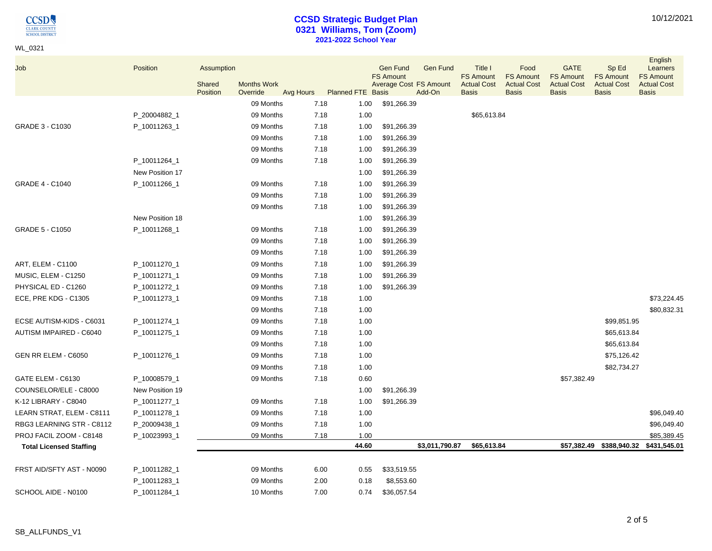$\underset{\frac{\text{CLARK COUNTY}}{\text{C}\text{LARK COUNTY}}}{{\color{red}\text{C}\text{C}}}\nonumber\\$ 

WL\_0321

# **CCSD Strategic Budget Plan 0321 Williams, Tom (Zoom) 2021-2022 School Year**

| Job                            | Position        | Assumption         |                                |           |                          |       | <b>Gen Fund</b>                            | <b>Gen Fund</b> | Title I                                                | Food                                                   | <b>GATE</b>                                            | Sp Ed                                                  | English<br>Learners                                    |
|--------------------------------|-----------------|--------------------|--------------------------------|-----------|--------------------------|-------|--------------------------------------------|-----------------|--------------------------------------------------------|--------------------------------------------------------|--------------------------------------------------------|--------------------------------------------------------|--------------------------------------------------------|
|                                |                 | Shared<br>Position | <b>Months Work</b><br>Override | Avg Hours | <b>Planned FTE Basis</b> |       | <b>FS Amount</b><br>Average Cost FS Amount | Add-On          | <b>FS Amount</b><br><b>Actual Cost</b><br><b>Basis</b> | <b>FS Amount</b><br><b>Actual Cost</b><br><b>Basis</b> | <b>FS Amount</b><br><b>Actual Cost</b><br><b>Basis</b> | <b>FS Amount</b><br><b>Actual Cost</b><br><b>Basis</b> | <b>FS Amount</b><br><b>Actual Cost</b><br><b>Basis</b> |
|                                |                 |                    | 09 Months                      |           | 7.18                     | 1.00  | \$91,266.39                                |                 |                                                        |                                                        |                                                        |                                                        |                                                        |
|                                | P_20004882_1    |                    | 09 Months                      |           | 7.18                     | 1.00  |                                            |                 | \$65,613.84                                            |                                                        |                                                        |                                                        |                                                        |
| GRADE 3 - C1030                | P_10011263_1    |                    | 09 Months                      |           | 7.18                     | 1.00  | \$91,266.39                                |                 |                                                        |                                                        |                                                        |                                                        |                                                        |
|                                |                 |                    | 09 Months                      |           | 7.18                     | 1.00  | \$91,266.39                                |                 |                                                        |                                                        |                                                        |                                                        |                                                        |
|                                |                 |                    | 09 Months                      |           | 7.18                     | 1.00  | \$91,266.39                                |                 |                                                        |                                                        |                                                        |                                                        |                                                        |
|                                | P_10011264_1    |                    | 09 Months                      |           | 7.18                     | 1.00  | \$91,266.39                                |                 |                                                        |                                                        |                                                        |                                                        |                                                        |
|                                | New Position 17 |                    |                                |           |                          | 1.00  | \$91,266.39                                |                 |                                                        |                                                        |                                                        |                                                        |                                                        |
| GRADE 4 - C1040                | P_10011266_1    |                    | 09 Months                      |           | 7.18                     | 1.00  | \$91,266.39                                |                 |                                                        |                                                        |                                                        |                                                        |                                                        |
|                                |                 |                    | 09 Months                      |           | 7.18                     | 1.00  | \$91,266.39                                |                 |                                                        |                                                        |                                                        |                                                        |                                                        |
|                                |                 |                    | 09 Months                      |           | 7.18                     | 1.00  | \$91,266.39                                |                 |                                                        |                                                        |                                                        |                                                        |                                                        |
|                                | New Position 18 |                    |                                |           |                          | 1.00  | \$91,266.39                                |                 |                                                        |                                                        |                                                        |                                                        |                                                        |
| GRADE 5 - C1050                | P_10011268_1    |                    | 09 Months                      |           | 7.18                     | 1.00  | \$91,266.39                                |                 |                                                        |                                                        |                                                        |                                                        |                                                        |
|                                |                 |                    | 09 Months                      |           | 7.18                     | 1.00  | \$91,266.39                                |                 |                                                        |                                                        |                                                        |                                                        |                                                        |
|                                |                 |                    | 09 Months                      |           | 7.18                     | 1.00  | \$91,266.39                                |                 |                                                        |                                                        |                                                        |                                                        |                                                        |
| ART, ELEM - C1100              | P_10011270_1    |                    | 09 Months                      |           | 7.18                     | 1.00  | \$91,266.39                                |                 |                                                        |                                                        |                                                        |                                                        |                                                        |
| MUSIC, ELEM - C1250            | P_10011271_1    |                    | 09 Months                      |           | 7.18                     | 1.00  | \$91,266.39                                |                 |                                                        |                                                        |                                                        |                                                        |                                                        |
| PHYSICAL ED - C1260            | P_10011272_1    |                    | 09 Months                      |           | 7.18                     | 1.00  | \$91,266.39                                |                 |                                                        |                                                        |                                                        |                                                        |                                                        |
| ECE, PRE KDG - C1305           | P_10011273_1    |                    | 09 Months                      |           | 7.18                     | 1.00  |                                            |                 |                                                        |                                                        |                                                        |                                                        | \$73,224.45                                            |
|                                |                 |                    | 09 Months                      |           | 7.18                     | 1.00  |                                            |                 |                                                        |                                                        |                                                        |                                                        | \$80,832.31                                            |
| ECSE AUTISM-KIDS - C6031       | P_10011274_1    |                    | 09 Months                      |           | 7.18                     | 1.00  |                                            |                 |                                                        |                                                        |                                                        | \$99,851.95                                            |                                                        |
| AUTISM IMPAIRED - C6040        | P_10011275_1    |                    | 09 Months                      |           | 7.18                     | 1.00  |                                            |                 |                                                        |                                                        |                                                        | \$65,613.84                                            |                                                        |
|                                |                 |                    | 09 Months                      |           | 7.18                     | 1.00  |                                            |                 |                                                        |                                                        |                                                        | \$65,613.84                                            |                                                        |
| GEN RR ELEM - C6050            | P_10011276_1    |                    | 09 Months                      |           | 7.18                     | 1.00  |                                            |                 |                                                        |                                                        |                                                        | \$75,126.42                                            |                                                        |
|                                |                 |                    | 09 Months                      |           | 7.18                     | 1.00  |                                            |                 |                                                        |                                                        |                                                        | \$82,734.27                                            |                                                        |
| GATE ELEM - C6130              | P_10008579_1    |                    | 09 Months                      |           | 7.18                     | 0.60  |                                            |                 |                                                        |                                                        | \$57,382.49                                            |                                                        |                                                        |
| COUNSELOR/ELE - C8000          | New Position 19 |                    |                                |           |                          | 1.00  | \$91,266.39                                |                 |                                                        |                                                        |                                                        |                                                        |                                                        |
| K-12 LIBRARY - C8040           | P_10011277_1    |                    | 09 Months                      |           | 7.18                     | 1.00  | \$91,266.39                                |                 |                                                        |                                                        |                                                        |                                                        |                                                        |
| LEARN STRAT, ELEM - C8111      | P_10011278_1    |                    | 09 Months                      |           | 7.18                     | 1.00  |                                            |                 |                                                        |                                                        |                                                        |                                                        | \$96,049.40                                            |
| RBG3 LEARNING STR - C8112      | P_20009438_1    |                    | 09 Months                      |           | 7.18                     | 1.00  |                                            |                 |                                                        |                                                        |                                                        |                                                        | \$96,049.40                                            |
| PROJ FACIL ZOOM - C8148        | P_10023993_1    |                    | 09 Months                      |           | 7.18                     | 1.00  |                                            |                 |                                                        |                                                        |                                                        |                                                        | \$85,389.45                                            |
| <b>Total Licensed Staffing</b> |                 |                    |                                |           |                          | 44.60 |                                            | \$3,011,790.87  | \$65,613.84                                            |                                                        |                                                        | \$57,382.49 \$388,940.32                               | \$431,545.01                                           |
| FRST AID/SFTY AST - N0090      | P_10011282_1    |                    | 09 Months                      |           | 6.00                     | 0.55  | \$33,519.55                                |                 |                                                        |                                                        |                                                        |                                                        |                                                        |
|                                | P_10011283_1    |                    | 09 Months                      |           | 2.00                     | 0.18  | \$8,553.60                                 |                 |                                                        |                                                        |                                                        |                                                        |                                                        |
| SCHOOL AIDE - N0100            | P 10011284 1    |                    | 10 Months                      |           | 7.00                     | 0.74  | \$36,057.54                                |                 |                                                        |                                                        |                                                        |                                                        |                                                        |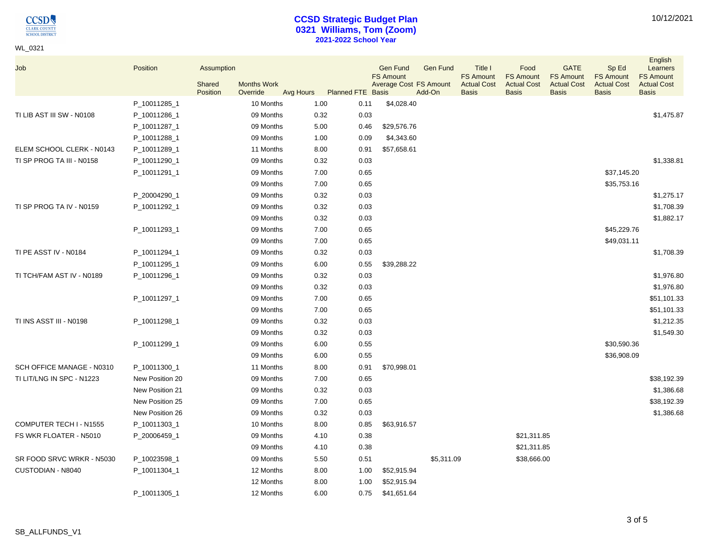$\underset{\frac{\text{CLARK COUNTY}}{\text{C}\text{LARK COUNTY}}}{{\color{red}\text{C}\text{C}}}\nonumber\\$ 

WL\_0321

## **CCSD Strategic Budget Plan 0321 Williams, Tom (Zoom) 2021-2022 School Year**

| 10/12/2021 |
|------------|
|------------|

| Job                       | Position        | Assumption<br>Shared | <b>Months Work</b> |      |                             | <b>Gen Fund</b><br><b>FS Amount</b> | Gen Fund<br>Average Cost FS Amount | Title I<br><b>FS Amount</b><br><b>Actual Cost</b> | Food<br><b>FS Amount</b><br><b>Actual Cost</b> | <b>GATE</b><br><b>FS Amount</b><br><b>Actual Cost</b> | Sp Ed<br><b>FS Amount</b><br><b>Actual Cost</b> | English<br>Learners<br><b>FS Amount</b><br><b>Actual Cost</b> |
|---------------------------|-----------------|----------------------|--------------------|------|-----------------------------|-------------------------------------|------------------------------------|---------------------------------------------------|------------------------------------------------|-------------------------------------------------------|-------------------------------------------------|---------------------------------------------------------------|
|                           |                 | Position             | Override           |      | Avg Hours Planned FTE Basis |                                     | Add-On                             | <b>Basis</b>                                      | <b>Basis</b>                                   | <b>Basis</b>                                          | <b>Basis</b>                                    | <b>Basis</b>                                                  |
|                           | P_10011285_1    |                      | 10 Months          | 1.00 | 0.11                        | \$4,028.40                          |                                    |                                                   |                                                |                                                       |                                                 |                                                               |
| TI LIB AST III SW - N0108 | P_10011286_1    |                      | 09 Months          | 0.32 | 0.03                        |                                     |                                    |                                                   |                                                |                                                       |                                                 | \$1,475.87                                                    |
|                           | P_10011287_1    |                      | 09 Months          | 5.00 | 0.46                        | \$29,576.76                         |                                    |                                                   |                                                |                                                       |                                                 |                                                               |
|                           | P_10011288_1    |                      | 09 Months          | 1.00 | 0.09                        | \$4,343.60                          |                                    |                                                   |                                                |                                                       |                                                 |                                                               |
| ELEM SCHOOL CLERK - N0143 | P_10011289_1    |                      | 11 Months          | 8.00 | 0.91                        | \$57,658.61                         |                                    |                                                   |                                                |                                                       |                                                 |                                                               |
| TI SP PROG TA III - N0158 | P_10011290_1    |                      | 09 Months          | 0.32 | 0.03                        |                                     |                                    |                                                   |                                                |                                                       |                                                 | \$1,338.81                                                    |
|                           | P_10011291_1    |                      | 09 Months          | 7.00 | 0.65                        |                                     |                                    |                                                   |                                                |                                                       | \$37,145.20                                     |                                                               |
|                           |                 |                      | 09 Months          | 7.00 | 0.65                        |                                     |                                    |                                                   |                                                |                                                       | \$35,753.16                                     |                                                               |
|                           | P_20004290_1    |                      | 09 Months          | 0.32 | 0.03                        |                                     |                                    |                                                   |                                                |                                                       |                                                 | \$1,275.17                                                    |
| TI SP PROG TA IV - N0159  | P_10011292_1    |                      | 09 Months          | 0.32 | 0.03                        |                                     |                                    |                                                   |                                                |                                                       |                                                 | \$1,708.39                                                    |
|                           |                 |                      | 09 Months          | 0.32 | 0.03                        |                                     |                                    |                                                   |                                                |                                                       |                                                 | \$1,882.17                                                    |
|                           | P_10011293_1    |                      | 09 Months          | 7.00 | 0.65                        |                                     |                                    |                                                   |                                                |                                                       | \$45,229.76                                     |                                                               |
|                           |                 |                      | 09 Months          | 7.00 | 0.65                        |                                     |                                    |                                                   |                                                |                                                       | \$49,031.11                                     |                                                               |
| TI PE ASST IV - N0184     | P_10011294_1    |                      | 09 Months          | 0.32 | 0.03                        |                                     |                                    |                                                   |                                                |                                                       |                                                 | \$1,708.39                                                    |
|                           | P_10011295_1    |                      | 09 Months          | 6.00 | 0.55                        | \$39,288.22                         |                                    |                                                   |                                                |                                                       |                                                 |                                                               |
| TI TCH/FAM AST IV - N0189 | P_10011296_1    |                      | 09 Months          | 0.32 | 0.03                        |                                     |                                    |                                                   |                                                |                                                       |                                                 | \$1,976.80                                                    |
|                           |                 |                      | 09 Months          | 0.32 | 0.03                        |                                     |                                    |                                                   |                                                |                                                       |                                                 | \$1,976.80                                                    |
|                           | P_10011297_1    |                      | 09 Months          | 7.00 | 0.65                        |                                     |                                    |                                                   |                                                |                                                       |                                                 | \$51,101.33                                                   |
|                           |                 |                      | 09 Months          | 7.00 | 0.65                        |                                     |                                    |                                                   |                                                |                                                       |                                                 | \$51,101.33                                                   |
| TI INS ASST III - N0198   | P_10011298_1    |                      | 09 Months          | 0.32 | 0.03                        |                                     |                                    |                                                   |                                                |                                                       |                                                 | \$1,212.35                                                    |
|                           |                 |                      | 09 Months          | 0.32 | 0.03                        |                                     |                                    |                                                   |                                                |                                                       |                                                 | \$1,549.30                                                    |
|                           | P_10011299_1    |                      | 09 Months          | 6.00 | 0.55                        |                                     |                                    |                                                   |                                                |                                                       | \$30,590.36                                     |                                                               |
|                           |                 |                      | 09 Months          | 6.00 | 0.55                        |                                     |                                    |                                                   |                                                |                                                       | \$36,908.09                                     |                                                               |
| SCH OFFICE MANAGE - N0310 | P_10011300_1    |                      | 11 Months          | 8.00 | 0.91                        | \$70,998.01                         |                                    |                                                   |                                                |                                                       |                                                 |                                                               |
| TI LIT/LNG IN SPC - N1223 | New Position 20 |                      | 09 Months          | 7.00 | 0.65                        |                                     |                                    |                                                   |                                                |                                                       |                                                 | \$38,192.39                                                   |
|                           | New Position 21 |                      | 09 Months          | 0.32 | 0.03                        |                                     |                                    |                                                   |                                                |                                                       |                                                 | \$1,386.68                                                    |
|                           | New Position 25 |                      | 09 Months          | 7.00 | 0.65                        |                                     |                                    |                                                   |                                                |                                                       |                                                 | \$38,192.39                                                   |
|                           | New Position 26 |                      | 09 Months          | 0.32 | 0.03                        |                                     |                                    |                                                   |                                                |                                                       |                                                 | \$1,386.68                                                    |
| COMPUTER TECH I - N1555   | P_10011303_1    |                      | 10 Months          | 8.00 | 0.85                        | \$63,916.57                         |                                    |                                                   |                                                |                                                       |                                                 |                                                               |
| FS WKR FLOATER - N5010    | P_20006459_1    |                      | 09 Months          | 4.10 | 0.38                        |                                     |                                    |                                                   | \$21,311.85                                    |                                                       |                                                 |                                                               |
|                           |                 |                      | 09 Months          | 4.10 | 0.38                        |                                     |                                    |                                                   | \$21,311.85                                    |                                                       |                                                 |                                                               |
| SR FOOD SRVC WRKR - N5030 | P_10023598_1    |                      | 09 Months          | 5.50 | 0.51                        |                                     | \$5,311.09                         |                                                   | \$38,666.00                                    |                                                       |                                                 |                                                               |
| CUSTODIAN - N8040         | P_10011304_1    |                      | 12 Months          | 8.00 | 1.00                        | \$52,915.94                         |                                    |                                                   |                                                |                                                       |                                                 |                                                               |
|                           |                 |                      | 12 Months          | 8.00 | 1.00                        | \$52,915.94                         |                                    |                                                   |                                                |                                                       |                                                 |                                                               |
|                           | P_10011305_1    |                      | 12 Months          | 6.00 | 0.75                        | \$41,651.64                         |                                    |                                                   |                                                |                                                       |                                                 |                                                               |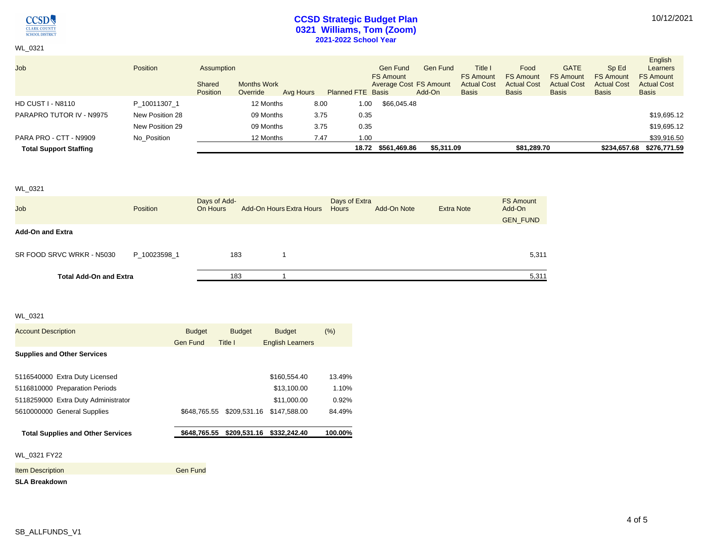

WL\_0321

## **CCSD Strategic Budget Plan 0321 Williams, Tom (Zoom) 2021-2022 School Year**

| <b>Job</b>                    | <b>Position</b> | Assumption<br>Shared<br><b>Position</b> | <b>Months Work</b><br>Override | Avg Hours | <b>Planned FTE Basis</b> | Gen Fund<br><b>FS Amount</b> | Gen Fund<br>Average Cost FS Amount<br>Add-On | Title i<br><b>FS Amount</b><br><b>Actual Cost</b><br><b>Basis</b> | Food<br><b>FS Amount</b><br><b>Actual Cost</b><br><b>Basis</b> | <b>GATE</b><br><b>FS Amount</b><br><b>Actual Cost</b><br><b>Basis</b> | Sp Ed<br><b>FS Amount</b><br><b>Actual Cost</b><br><b>Basis</b> | English<br>Learners<br><b>FS Amount</b><br><b>Actual Cost</b><br><b>Basis</b> |
|-------------------------------|-----------------|-----------------------------------------|--------------------------------|-----------|--------------------------|------------------------------|----------------------------------------------|-------------------------------------------------------------------|----------------------------------------------------------------|-----------------------------------------------------------------------|-----------------------------------------------------------------|-------------------------------------------------------------------------------|
| <b>HD CUST I - N8110</b>      | P 10011307 1    |                                         | 12 Months                      |           | 8.00                     | \$66,045.48<br>1.00          |                                              |                                                                   |                                                                |                                                                       |                                                                 |                                                                               |
| PARAPRO TUTOR IV - N9975      | New Position 28 |                                         | 09 Months                      |           | 3.75                     | 0.35                         |                                              |                                                                   |                                                                |                                                                       |                                                                 | \$19,695.12                                                                   |
|                               | New Position 29 |                                         | 09 Months                      |           | 3.75                     | 0.35                         |                                              |                                                                   |                                                                |                                                                       |                                                                 | \$19,695.12                                                                   |
| PARA PRO - CTT - N9909        | No Position     |                                         | 12 Months                      |           | 7.47                     | 1.00                         |                                              |                                                                   |                                                                |                                                                       |                                                                 | \$39,916.50                                                                   |
| <b>Total Support Staffing</b> |                 |                                         |                                |           |                          | \$561,469.86<br>18.72        | \$5,311.09                                   |                                                                   | \$81,289.70                                                    |                                                                       |                                                                 | \$234,657.68 \$276,771.59                                                     |

#### WL\_0321

| Job                           | Position     | Days of Add-<br>On Hours | <b>Add-On Hours Extra Hours</b> | Days of Extra<br><b>Hours</b> | Add-On Note | <b>Extra Note</b> | <b>FS Amount</b><br>Add-On<br><b>GEN FUND</b> |
|-------------------------------|--------------|--------------------------|---------------------------------|-------------------------------|-------------|-------------------|-----------------------------------------------|
| <b>Add-On and Extra</b>       |              |                          |                                 |                               |             |                   |                                               |
| SR FOOD SRVC WRKR - N5030     | P 10023598 1 | 183                      |                                 |                               |             |                   | 5,311                                         |
| <b>Total Add-On and Extra</b> |              | 183                      |                                 |                               |             |                   | 5,311                                         |

## WL\_0321

| <b>Account Description</b>               | <b>Budget</b>   | <b>Budget</b> | <b>Budget</b>             | (% )    |
|------------------------------------------|-----------------|---------------|---------------------------|---------|
|                                          | <b>Gen Fund</b> | Title I       | <b>English Learners</b>   |         |
| <b>Supplies and Other Services</b>       |                 |               |                           |         |
| 5116540000 Extra Duty Licensed           |                 |               | \$160,554.40              | 13.49%  |
| 5116810000 Preparation Periods           |                 |               | \$13,100.00               | 1.10%   |
| 5118259000 Extra Duty Administrator      |                 |               | \$11,000.00               | 0.92%   |
| 5610000000 General Supplies              | \$648.765.55    | \$209,531.16  | \$147,588.00              | 84.49%  |
| <b>Total Supplies and Other Services</b> | \$648.765.55    |               | \$209,531.16 \$332,242.40 | 100.00% |
| WL 0321 FY22                             |                 |               |                           |         |
| <b>Item Description</b>                  | Gen Fund        |               |                           |         |
| <b>SLA Breakdown</b>                     |                 |               |                           |         |